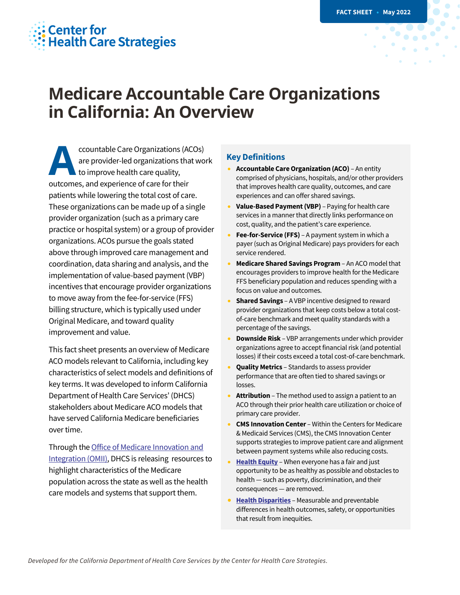## **Center for Health Care Strategies**

# **Medicare Accountable Care Organizations in California: An Overview**

ccountable Care Organizations (ACOs) are provider-led organizations that work  $\iota$  to improve health care quality, outcomes, and experience of care for their patients while lowering the total cost of care. These organizations can be made up of a single provider organization (such as a primary care practice or hospital system) or a group of provider organizations. ACOs pursue the goals stated above through improved care management and coordination, data sharing and analysis, and the implementation of value-based payment (VBP) incentives that encourage provider organizations to move away from the fee-for-service (FFS) billing structure, which is typically used under Original Medicare, and toward quality improvement and value. **A**

This fact sheet presents an overview of Medicare ACO models relevant to California, including key characteristics of select models and definitions of key terms. It was developed to inform California Department of Health Care Services' (DHCS) stakeholders about Medicare ACO models that have served California Medicare beneficiaries over time.

Through the Office of Medicare [Innovation](https://www.dhcs.ca.gov/services/Pages/OMII.aspx) and [Integration](https://www.dhcs.ca.gov/services/Pages/OMII.aspx) (OMII), DHCS is releasing resources to highlight characteristics of the Medicare population across the state as well as the health care models and systems that support them.

#### **Key Definitions**

- **Accountable CareOrganization (ACO)** An entity comprised of physicians, hospitals, and/or other providers that improves health care quality, outcomes, and care experiences and can offer shared savings.
- **Value-Based Payment(VBP)** Paying for health care services in a manner that directly links performance on cost, quality, and the patient's care experience.
- **Fee-for-Service (FFS)** A payment system in which a payer(such as Original Medicare) pays providers for each service rendered.
- **Medicare Shared Savings Program** An ACO modelthat encourages providers to improve health for the Medicare FFS beneficiary population and reduces spending with a focus on value and outcomes.
- **Shared Savings** A VBP incentive designed to reward provider organizations that keep costs below a total costof-care benchmark and meet quality standards with a percentage of the savings.
- **Downside Risk** VBP arrangements under which provider organizations agree to accept financial risk (and potential losses) if their costs exceed a total cost-of-care benchmark.
- **Quality Metrics** Standards to assess provider performance that are often tied to shared savings or losses.
- **Attribution** The method used to assign a patient to an ACO through their prior health care utilization or choice of primary care provider.
- **CMS Innovation Center** Within the Centers for Medicare & Medicaid Services (CMS), the CMS Innovation Center supports strategies to improve patient care and alignment between payment systems while also reducing costs.
- **[Health](https://www.rwjf.org/en/library/research/2017/05/what-is-health-equity-.html) Equity** When everyone has a fair and just opportunity to be as healthy as possible and obstacles to health — such as poverty, discrimination, and their consequences — are removed.
- **Health [Disparities](https://www.cdc.gov/healthyyouth/disparities/)** Measurable and preventable differences in health outcomes, safety, or opportunities that result from inequities.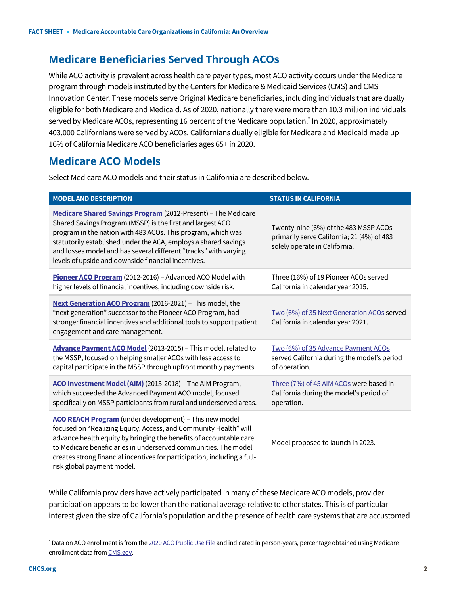## **Medicare Beneficiaries Served Through ACOs**

While ACO activity is prevalent across health care payer types, most ACO activity occurs under the Medicare program through models instituted by the Centers for Medicare & Medicaid Services (CMS) and CMS Innovation Center. These models serve Original Medicare beneficiaries, including individuals that are dually eligible for both Medicare and Medicaid. As of 2020, nationally there were more than 10.3 million individuals served by Medicare ACOs, representing 16 percent of the Medicare population. In 2020, approximately 403,000 Californians were served by ACOs. Californians dually eligible for Medicare and Medicaid made up 16% of California Medicare ACO beneficiaries ages 65+ in 2020.

## **Medicare ACO Models**

Select Medicare ACO models and their status in California are described below.

| <b>MODEL AND DESCRIPTION</b>                                                                                                                                                                                                                                                                                                                                                              | <b>STATUS IN CALIFORNIA</b>                                                                                          |
|-------------------------------------------------------------------------------------------------------------------------------------------------------------------------------------------------------------------------------------------------------------------------------------------------------------------------------------------------------------------------------------------|----------------------------------------------------------------------------------------------------------------------|
| Medicare Shared Savings Program (2012-Present) - The Medicare<br>Shared Savings Program (MSSP) is the first and largest ACO<br>program in the nation with 483 ACOs. This program, which was<br>statutorily established under the ACA, employs a shared savings<br>and losses model and has several different "tracks" with varying<br>levels of upside and downside financial incentives. | Twenty-nine (6%) of the 483 MSSP ACOs<br>primarily serve California; 21 (4%) of 483<br>solely operate in California. |
| Pioneer ACO Program (2012-2016) - Advanced ACO Model with<br>higher levels of financial incentives, including downside risk.                                                                                                                                                                                                                                                              | Three (16%) of 19 Pioneer ACOs served<br>California in calendar year 2015.                                           |
| Next Generation ACO Program (2016-2021) - This model, the<br>"next generation" successor to the Pioneer ACO Program, had<br>stronger financial incentives and additional tools to support patient<br>engagement and care management.                                                                                                                                                      | Two (6%) of 35 Next Generation ACOs served<br>California in calendar year 2021.                                      |
| Advance Payment ACO Model (2013-2015) - This model, related to<br>the MSSP, focused on helping smaller ACOs with less access to<br>capital participate in the MSSP through upfront monthly payments.                                                                                                                                                                                      | Two (6%) of 35 Advance Payment ACOs<br>served California during the model's period<br>of operation.                  |
| ACO Investment Model (AIM) (2015-2018) - The AIM Program,<br>which succeeded the Advanced Payment ACO model, focused<br>specifically on MSSP participants from rural and underserved areas.                                                                                                                                                                                               | Three (7%) of 45 AIM ACOs were based in<br>California during the model's period of<br>operation.                     |
| ACO REACH Program (under development) - This new model<br>focused on "Realizing Equity, Access, and Community Health" will<br>advance health equity by bringing the benefits of accountable care<br>to Medicare beneficiaries in underserved communities. The model<br>creates strong financial incentives for participation, including a full-<br>risk global payment model.             | Model proposed to launch in 2023.                                                                                    |

While California providers have actively participated in many of these Medicare ACO models, provider participation appears to be lower than the national average relative to other states. This is of particular interest given the size of California's population and the presence of health care systems that are accustomed

<sup>\*</sup> Data on ACO enrollment is from the 2020 ACO [Public](https://data.cms.gov/medicare-shared-savings-program/performance-year-financial-and-quality-results) Use File and indicated in person-years, percentage obtained using Medicare enrollment data from [CMS.gov](https://data.cms.gov/summary-statistics-on-beneficiary-enrollment/medicare-and-medicaid-reports/medicare-monthly-enrollment/data).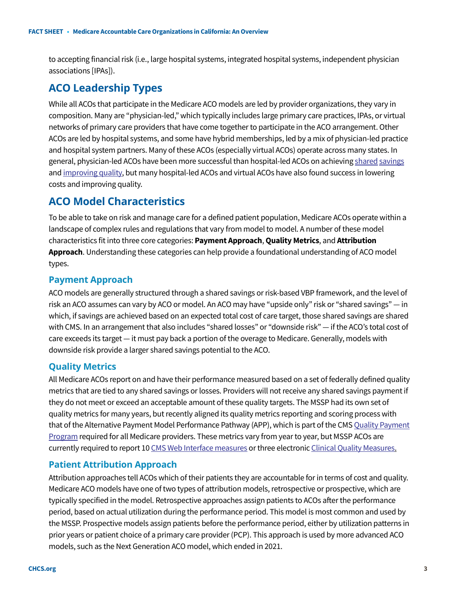to accepting financial risk (i.e., large hospital systems, integrated hospital systems, independent physician associations [IPAs]).

### **ACO Leadership Types**

While all ACOs that participate in the Medicare ACO models are led by provider organizations, they vary in composition. Many are "physician-led," which typically includes large primary care practices, IPAs, or virtual networks of primary care providers that have come together to participate in the ACO arrangement. Other ACOs are led by hospital systems, and some have hybrid memberships, led by a mix of physician-led practice and hospital system partners. Many of these ACOs (especially virtual ACOs) operate across many states. In general, physician-led ACOs have been more successful than hospital-led ACOs on achieving shared [savings](https://www.nejm.org/doi/full/10.1056/nejmsa1803388) and [improving](https://healthpolicy.duke.edu/sites/default/files/2020-07/How%20to%20Better%20Support%20Small%20Physician-Led%20ACOs.pdf) quality, but many hospital-led ACOs and virtual ACOs have also found success in lowering costs and improving quality.

## **ACO Model Characteristics**

To be able to take on risk and manage care for a defined patient population, Medicare ACOs operate within a landscape of complex rules and regulations that vary from model to model. A number of these model characteristics fit into three core categories: **Payment Approach**, **Quality Metrics**, and **Attribution Approach**. Understanding these categories can help provide a foundational understanding of ACO model types.

#### **Payment Approach**

ACO models are generally structured through a shared savings or risk-based VBP framework, and the level of risk an ACO assumes can vary by ACO or model. An ACO may have "upside only" risk or "shared savings" — in which, if savings are achieved based on an expected total cost of care target, those shared savings are shared with CMS. In an arrangement that also includes "shared losses" or "downside risk" — if the ACO's total cost of care exceeds its target — it must pay back a portion of the overage to Medicare. Generally, models with downside risk provide a larger shared savings potential to the ACO.

#### **Quality Metrics**

All Medicare ACOs report on and have their performance measured based on a set of federally defined quality metrics that are tied to any shared savings or losses. Providers will notreceive any shared savings paymentif they do not meet or exceed an acceptable amount of these quality targets. The MSSP had its own set of quality metrics for many years, but recently aligned its quality metrics reporting and scoring process with that of the Alternative [Payment](https://qpp.cms.gov/about/qpp-overview) Model Performance Pathway (APP), which is part of the CMS Quality Payment Program required for all Medicare providers. These metrics vary from year to year, but MSSP ACOs are currently required to report 10 CMS Web Interface [measures](https://qpp.cms.gov/resources/resource-library) or three electronic Clinical Quality [Measures.](https://www.cms.gov/Regulations-and-Guidance/Legislation/EHRIncentivePrograms/ClinicalQualityMeasures)

#### **Patient Attribution Approach**

Attribution approaches tell ACOs which of their patients they are accountable for in terms of cost and quality. Medicare ACO models have one oftwo types of attribution models, retrospective or prospective, which are typically specified in the model. Retrospective approaches assign patients to ACOs after the performance period, based on actual utilization during the performance period. This model is most common and used by the MSSP. Prospective models assign patients before the performance period, either by utilization patterns in prior years or patient choice of a primary care provider(PCP). This approach is used by more advanced ACO models, such as the Next Generation ACO model, which ended in 2021.